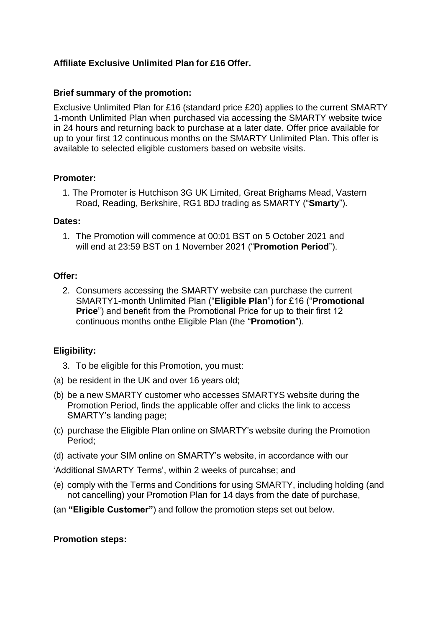# **Affiliate Exclusive Unlimited Plan for £16 Offer.**

## **Brief summary of the promotion:**

Exclusive Unlimited Plan for £16 (standard price £20) applies to the current SMARTY 1-month Unlimited Plan when purchased via accessing the SMARTY website twice in 24 hours and returning back to purchase at a later date. Offer price available for up to your first 12 continuous months on the SMARTY Unlimited Plan. This offer is available to selected eligible customers based on website visits.

## **Promoter:**

1. The Promoter is Hutchison 3G UK Limited, Great Brighams Mead, Vastern Road, Reading, Berkshire, RG1 8DJ trading as SMARTY ("**Smarty**").

### **Dates:**

1. The Promotion will commence at 00:01 BST on 5 October 2021 and will end at 23:59 BST on 1 November 2021 ("**Promotion Period**").

### **Offer:**

2. Consumers accessing the SMARTY website can purchase the current SMARTY1-month Unlimited Plan ("**Eligible Plan**") for £16 ("**Promotional Price**") and benefit from the Promotional Price for up to their first 12 continuous months onthe Eligible Plan (the "**Promotion**").

## **Eligibility:**

- 3. To be eligible for this Promotion, you must:
- (a) be resident in the UK and over 16 years old;
- (b) be a new SMARTY customer who accesses SMARTYS website during the Promotion Period, finds the applicable offer and clicks the link to access SMARTY's landing page;
- (c) purchase the Eligible Plan online on SMARTY's website during the Promotion Period;
- (d) activate your SIM online on SMARTY's website, in accordance with our

'Additional SMARTY Terms', within 2 weeks of purcahse; and

- (e) comply with the Terms and Conditions for using SMARTY, including holding (and not cancelling) your Promotion Plan for 14 days from the date of purchase,
- (an **"Eligible Customer"**) and follow the promotion steps set out below.

### **Promotion steps:**